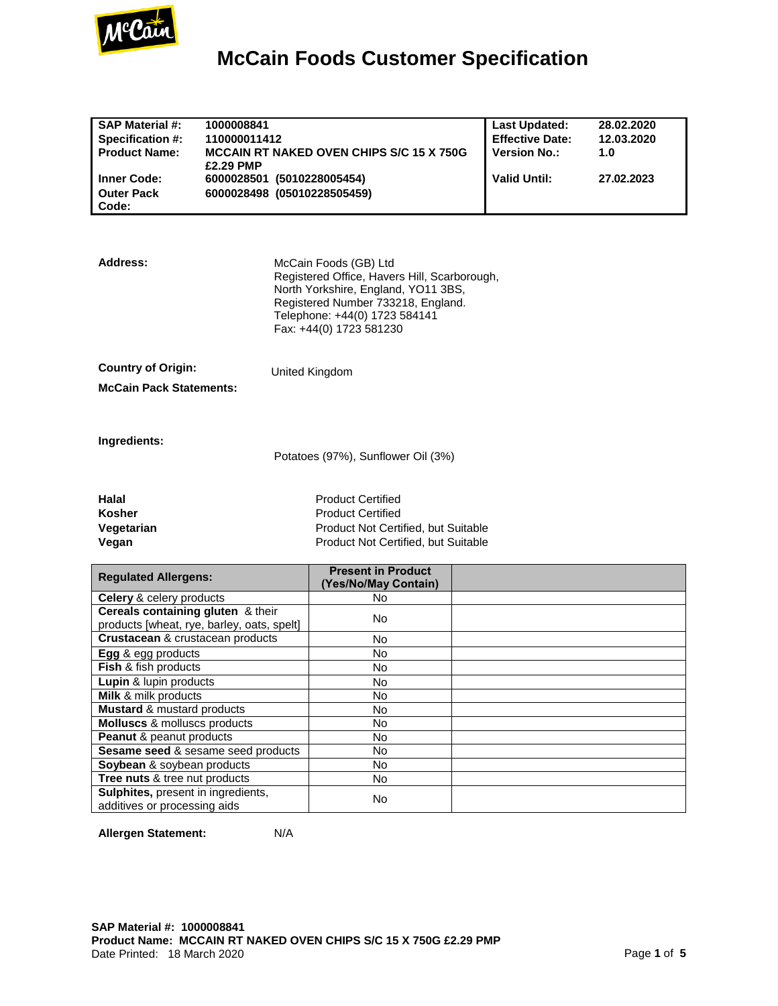

| <b>SAP Material #:</b><br>Specification #:                                     | 1000008841<br>110000011412  |                                                                                                                                                                                                                | <b>Last Updated:</b><br><b>Effective Date:</b> | 28.02.2020<br>12.03.2020 |
|--------------------------------------------------------------------------------|-----------------------------|----------------------------------------------------------------------------------------------------------------------------------------------------------------------------------------------------------------|------------------------------------------------|--------------------------|
| <b>Product Name:</b>                                                           |                             | <b>MCCAIN RT NAKED OVEN CHIPS S/C 15 X 750G</b>                                                                                                                                                                | <b>Version No.:</b>                            | 1.0                      |
|                                                                                | £2.29 PMP                   |                                                                                                                                                                                                                |                                                |                          |
| <b>Inner Code:</b>                                                             | 6000028501 (5010228005454)  |                                                                                                                                                                                                                | <b>Valid Until:</b>                            | 27.02.2023               |
| <b>Outer Pack</b>                                                              | 6000028498 (05010228505459) |                                                                                                                                                                                                                |                                                |                          |
| Code:                                                                          |                             |                                                                                                                                                                                                                |                                                |                          |
|                                                                                |                             |                                                                                                                                                                                                                |                                                |                          |
| Address:                                                                       |                             | McCain Foods (GB) Ltd<br>Registered Office, Havers Hill, Scarborough,<br>North Yorkshire, England, YO11 3BS,<br>Registered Number 733218, England.<br>Telephone: +44(0) 1723 584141<br>Fax: +44(0) 1723 581230 |                                                |                          |
| <b>Country of Origin:</b>                                                      |                             | United Kingdom                                                                                                                                                                                                 |                                                |                          |
| <b>McCain Pack Statements:</b>                                                 |                             |                                                                                                                                                                                                                |                                                |                          |
|                                                                                |                             |                                                                                                                                                                                                                |                                                |                          |
| Ingredients:                                                                   |                             | Potatoes (97%), Sunflower Oil (3%)                                                                                                                                                                             |                                                |                          |
| <b>Halal</b>                                                                   |                             | <b>Product Certified</b>                                                                                                                                                                                       |                                                |                          |
| Kosher                                                                         |                             | <b>Product Certified</b>                                                                                                                                                                                       |                                                |                          |
| Vegetarian                                                                     |                             | Product Not Certified, but Suitable                                                                                                                                                                            |                                                |                          |
| Vegan                                                                          |                             | Product Not Certified, but Suitable                                                                                                                                                                            |                                                |                          |
|                                                                                |                             |                                                                                                                                                                                                                |                                                |                          |
| <b>Regulated Allergens:</b>                                                    |                             | <b>Present in Product</b>                                                                                                                                                                                      |                                                |                          |
|                                                                                |                             | (Yes/No/May Contain)                                                                                                                                                                                           |                                                |                          |
| Celery & celery products                                                       |                             | No                                                                                                                                                                                                             |                                                |                          |
| Cereals containing gluten & their                                              |                             | No                                                                                                                                                                                                             |                                                |                          |
| products [wheat, rye, barley, oats, spelt]<br>Crustacean & crustacean products |                             |                                                                                                                                                                                                                |                                                |                          |
| Egg & egg products                                                             |                             | No<br>No                                                                                                                                                                                                       |                                                |                          |
| Fish & fish products                                                           |                             | No                                                                                                                                                                                                             |                                                |                          |
| Lupin & lupin products                                                         |                             | <b>No</b>                                                                                                                                                                                                      |                                                |                          |
|                                                                                |                             |                                                                                                                                                                                                                |                                                |                          |
| Milk & milk products<br><b>Mustard &amp; mustard products</b>                  |                             | No<br>No                                                                                                                                                                                                       |                                                |                          |
| Molluscs & molluscs products                                                   |                             | No                                                                                                                                                                                                             |                                                |                          |
| Peanut & peanut products                                                       |                             | No                                                                                                                                                                                                             |                                                |                          |
| Sesame seed & sesame seed products                                             |                             | No                                                                                                                                                                                                             |                                                |                          |
| Soybean & soybean products                                                     |                             | No                                                                                                                                                                                                             |                                                |                          |
| Tree nuts & tree nut products                                                  |                             | No                                                                                                                                                                                                             |                                                |                          |
| Sulphites, present in ingredients,                                             |                             |                                                                                                                                                                                                                |                                                |                          |
| additives or processing aids                                                   |                             | No                                                                                                                                                                                                             |                                                |                          |

**Allergen Statement:** N/A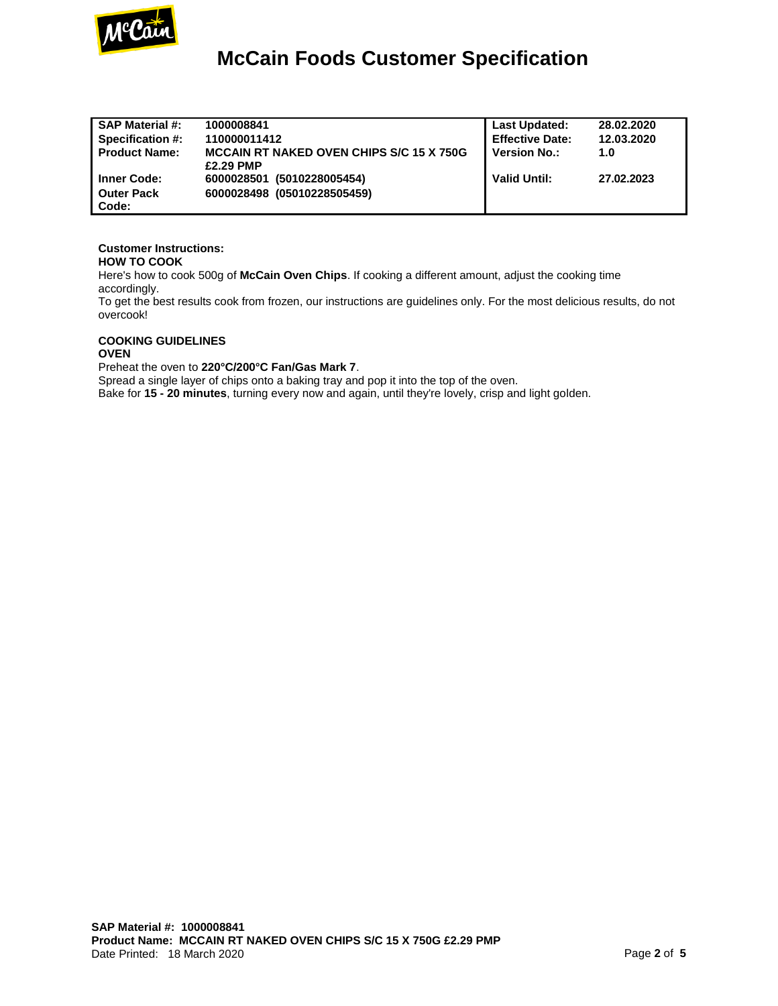

| <b>SAP Material #:</b> | 1000008841                                      | <b>Last Updated:</b>   | 28.02.2020 |
|------------------------|-------------------------------------------------|------------------------|------------|
| Specification #:       | 110000011412                                    | <b>Effective Date:</b> | 12.03.2020 |
| <b>Product Name:</b>   | <b>MCCAIN RT NAKED OVEN CHIPS S/C 15 X 750G</b> | <b>Version No.:</b>    | 1.0        |
|                        | £2.29 PMP                                       |                        |            |
| <b>Inner Code:</b>     | 6000028501 (5010228005454)                      | <b>Valid Until:</b>    | 27.02.2023 |
| <b>Outer Pack</b>      | 6000028498 (05010228505459)                     |                        |            |
| Code:                  |                                                 |                        |            |

#### **Customer Instructions:**

#### **HOW TO COOK**

Here's how to cook 500g of **McCain Oven Chips**. If cooking a different amount, adjust the cooking time accordingly.

To get the best results cook from frozen, our instructions are guidelines only. For the most delicious results, do not overcook!

### **COOKING GUIDELINES**

#### **OVEN**

Preheat the oven to **220°C/200°C Fan/Gas Mark 7**.

Spread a single layer of chips onto a baking tray and pop it into the top of the oven.

Bake for **15 - 20 minutes**, turning every now and again, until they're lovely, crisp and light golden.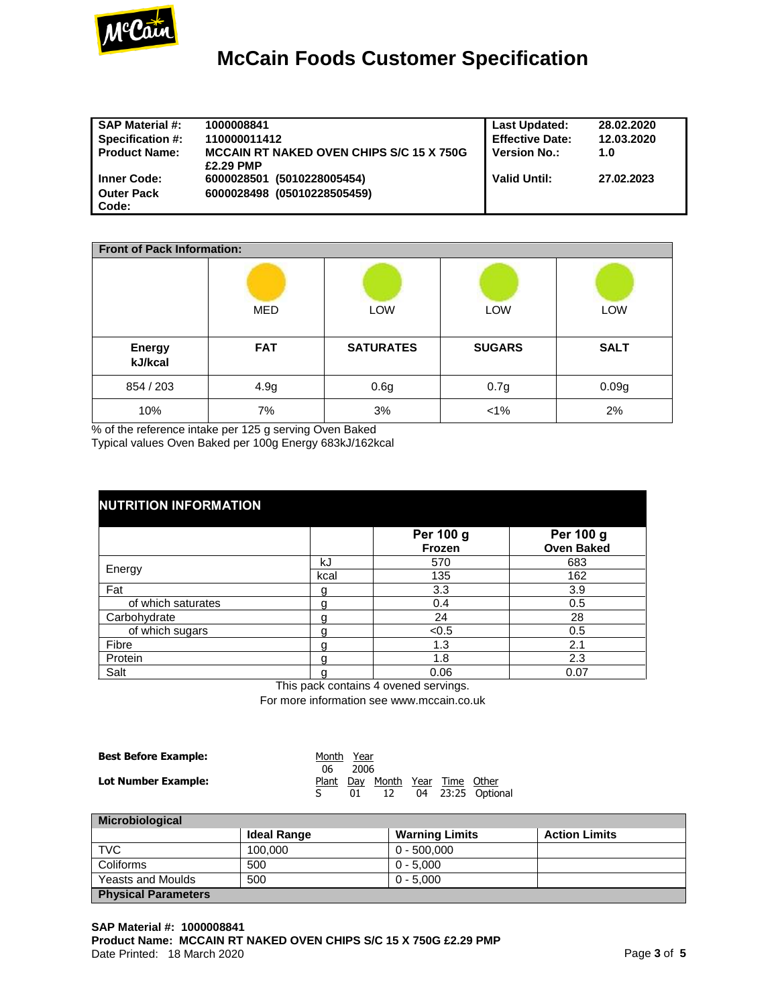

| <b>SAP Material #:</b> | 1000008841                                      | <b>Last Updated:</b>   | 28.02.2020 |
|------------------------|-------------------------------------------------|------------------------|------------|
| Specification #:       | 110000011412                                    | <b>Effective Date:</b> | 12.03.2020 |
| <b>Product Name:</b>   | <b>MCCAIN RT NAKED OVEN CHIPS S/C 15 X 750G</b> | <b>Version No.:</b>    | 1.0        |
|                        | £2.29 PMP                                       |                        |            |
| <b>Inner Code:</b>     | 6000028501 (5010228005454)                      | <b>Valid Until:</b>    | 27.02.2023 |
| <b>Outer Pack</b>      | 6000028498 (05010228505459)                     |                        |            |
| Code:                  |                                                 |                        |            |

| <b>Front of Pack Information:</b> |            |                  |               |             |  |  |
|-----------------------------------|------------|------------------|---------------|-------------|--|--|
|                                   | MED        | <b>LOW</b>       | LOW           | LOW         |  |  |
| <b>Energy</b><br>kJ/kcal          | <b>FAT</b> | <b>SATURATES</b> | <b>SUGARS</b> | <b>SALT</b> |  |  |
| 854 / 203                         | 4.9g       | 0.6g             | 0.7g          | 0.09g       |  |  |
| 10%                               | 7%         | 3%               | $1\%$         | 2%          |  |  |

% of the reference intake per 125 g serving Oven Baked Typical values Oven Baked per 100g Energy 683kJ/162kcal

| <b>NUTRITION INFORMATION</b> |      |                     |                                |  |  |  |  |
|------------------------------|------|---------------------|--------------------------------|--|--|--|--|
|                              |      | Per 100 g<br>Frozen | Per 100 g<br><b>Oven Baked</b> |  |  |  |  |
|                              | kJ   | 570                 | 683                            |  |  |  |  |
| Energy                       | kcal | 135                 | 162                            |  |  |  |  |
| Fat                          | g    | 3.3                 | 3.9                            |  |  |  |  |
| of which saturates           |      | 0.4                 | 0.5                            |  |  |  |  |
| Carbohydrate                 | g    | 24                  | 28                             |  |  |  |  |
| of which sugars              | g    | < 0.5               | 0.5                            |  |  |  |  |
| Fibre                        | g    | 1.3                 | 2.1                            |  |  |  |  |
| Protein                      | g    | 1.8                 | 2.3                            |  |  |  |  |
| Salt                         | g    | 0.06                | 0.07                           |  |  |  |  |

This pack contains 4 ovened servings.

For more information see www.mccain.co.uk

| <b>Best Before Example:</b> | Month Year<br>06. | 2006 |                                       |  |                   |
|-----------------------------|-------------------|------|---------------------------------------|--|-------------------|
| Lot Number Example:         |                   | 01   | Plant Day Month Year Time Other<br>12 |  | 04 23:25 Optional |

| <b>Microbiological</b>     |             |                       |                      |  |  |  |
|----------------------------|-------------|-----------------------|----------------------|--|--|--|
|                            | Ideal Range | <b>Warning Limits</b> | <b>Action Limits</b> |  |  |  |
| <b>TVC</b>                 | 100.000     | $0 - 500,000$         |                      |  |  |  |
| Coliforms                  | 500         | $0 - 5.000$           |                      |  |  |  |
| <b>Yeasts and Moulds</b>   | 500         | $0 - 5.000$           |                      |  |  |  |
| <b>Physical Parameters</b> |             |                       |                      |  |  |  |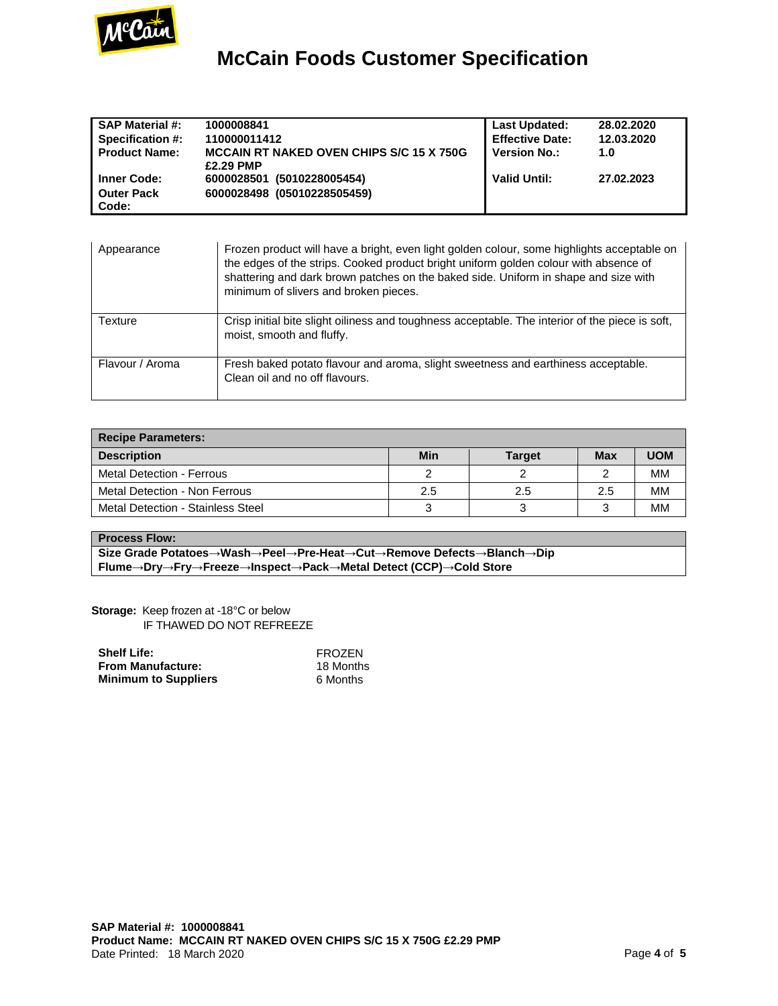

| <b>SAP Material #:</b>  | 1000008841                                      | <b>Last Updated:</b>   | 28.02.2020 |
|-------------------------|-------------------------------------------------|------------------------|------------|
| <b>Specification #:</b> | 110000011412                                    | <b>Effective Date:</b> | 12.03.2020 |
| <b>Product Name:</b>    | <b>MCCAIN RT NAKED OVEN CHIPS S/C 15 X 750G</b> | <b>Version No.:</b>    | 1.0        |
|                         | £2.29 PMP                                       |                        |            |
| <b>Inner Code:</b>      | 6000028501 (5010228005454)                      | <b>Valid Until:</b>    | 27.02.2023 |
| <b>Outer Pack</b>       | 6000028498 (05010228505459)                     |                        |            |
| Code:                   |                                                 |                        |            |

| Appearance      | Frozen product will have a bright, even light golden colour, some highlights acceptable on<br>the edges of the strips. Cooked product bright uniform golden colour with absence of<br>shattering and dark brown patches on the baked side. Uniform in shape and size with<br>minimum of slivers and broken pieces. |
|-----------------|--------------------------------------------------------------------------------------------------------------------------------------------------------------------------------------------------------------------------------------------------------------------------------------------------------------------|
| Texture         | Crisp initial bite slight oiliness and toughness acceptable. The interior of the piece is soft,<br>moist, smooth and fluffy.                                                                                                                                                                                       |
| Flavour / Aroma | Fresh baked potato flavour and aroma, slight sweetness and earthiness acceptable.<br>Clean oil and no off flavours.                                                                                                                                                                                                |

| <b>Recipe Parameters:</b>         |     |               |     |            |  |  |
|-----------------------------------|-----|---------------|-----|------------|--|--|
| <b>Description</b>                | Min | <b>Target</b> | Max | <b>UOM</b> |  |  |
| Metal Detection - Ferrous         |     |               |     | MМ         |  |  |
| Metal Detection - Non Ferrous     | 2.5 | 2.5           | 2.5 | MМ         |  |  |
| Metal Detection - Stainless Steel |     |               |     | MМ         |  |  |

#### **Process Flow:**

**Size Grade Potatoes→Wash→Peel→Pre-Heat→Cut→Remove Defects→Blanch→Dip Flume→Dry→Fry→Freeze→Inspect→Pack→Metal Detect (CCP)→Cold Store**

**Storage:** Keep frozen at -18°C or below IF THAWED DO NOT REFREEZE

| <b>Shelf Life:</b>          | FROZEN    |
|-----------------------------|-----------|
| <b>From Manufacture:</b>    | 18 Months |
| <b>Minimum to Suppliers</b> | 6 Months  |